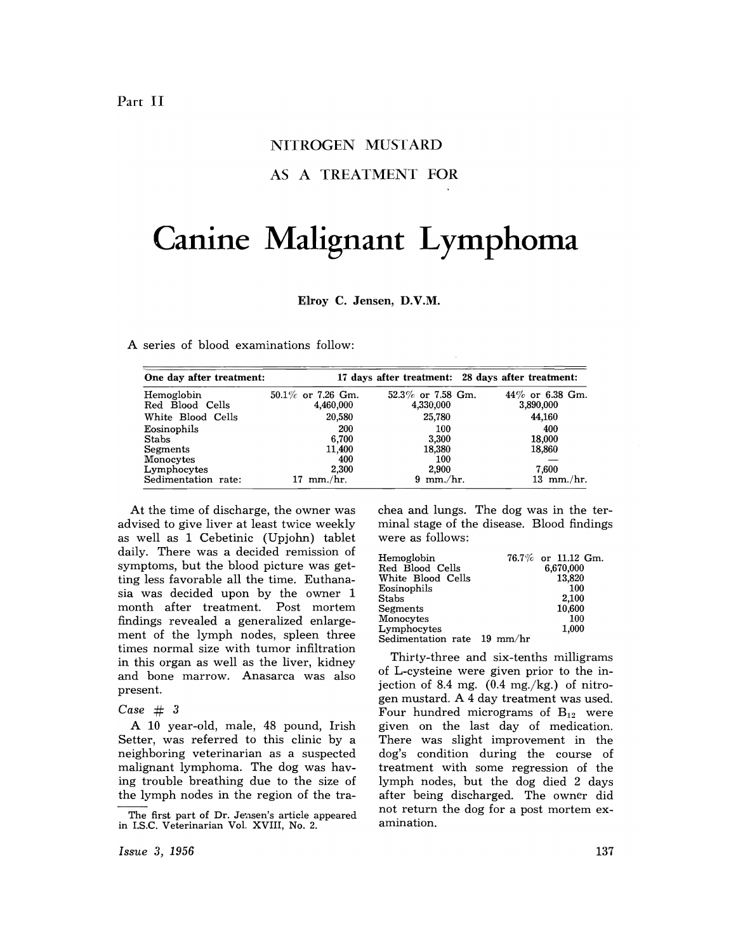# NITROGEN MUSTARD

AS A TREATMENT FOR

# **Canine Malignant Lymphoma**

Elroy C. Jensen, D.V.M.

A series of blood examinations follow:

| One day after treatment:      |                                   |        | 17 days after treatment: 28 days after treatment: |                                 |
|-------------------------------|-----------------------------------|--------|---------------------------------------------------|---------------------------------|
| Hemoglobin<br>Red Blood Cells | $50.1\%$ or 7.26 Gm.<br>4,460,000 |        | $52.3\%$ or 7.58 Gm.<br>4,330,000                 | $44\%$ or 6.38 Gm.<br>3,890,000 |
| White Blood Cells             |                                   | 20,580 | 25.780                                            | 44,160                          |
| Eosinophils                   |                                   | 200    | 100                                               | 400                             |
| <b>Stabs</b>                  |                                   | 6.700  | 3,300                                             | 18,000                          |
| Segments                      |                                   | 11.400 | 18.380                                            | 18,860                          |
| Monocytes                     |                                   | 400    | 100                                               |                                 |
| Lymphocytes                   |                                   | 2.300  | 2,900                                             | 7.600                           |
| Sedimentation rate:           | $mm/hr$ .                         |        | $9 \text{ mm/hr}$ .                               | $13 \, \text{mm./hr.}$          |

At the time of discharge, the owner was advised to give liver at least twice weekly as well as 1 Cebetinic (Upjohn) tablet daily. There was a decided remission of symptoms, but the blood picture was getting less favorable all the time. Euthanasia was decided upon by the owner 1 month after treatment. Post mortem findings revealed a generalized enlargement of the lymph nodes, spleen three times normal size with tumor infiltration in this organ as well as the liver, kidney and bone marrow. Anasarca was also present.

#### *Case* # 3

A 10 year-old, male, 48 pound, Irish Setter, was referred to this clinic by a neighboring veterinarian as a suspected malignant lymphoma. The dog was having trouble breathing due to the size of the lymph nodes in the region of the trachea and lungs. The dog was in the terminal stage of the disease. Blood findings were as follows:

| Hemoglobin                                       | 76.7% or 11.12 Gm. |
|--------------------------------------------------|--------------------|
| Red Blood Cells                                  | 6,670,000          |
| White Blood Cells                                | 13,820             |
| Eosinophils                                      | 100                |
| Stabs                                            | 2,100              |
| Segments                                         | 10,600             |
| Monocytes                                        | 100                |
| Lymphocytes                                      | 1.000              |
| $\rm Sedimentation$ $\rm\,rate$ $\rm\,19\,mm/hr$ |                    |
|                                                  |                    |

Thirty-three and six-tenths milligrams of L-cysteine were given prior to the injection of 8.4 mg.  $(0.4 \text{ mg./kg.})$  of nitrogen mustard. A 4 day treatment was used. Four hundred micrograms of  $B_{12}$  were given on the last day of medication. There was slight improvement in the dog's condition during the course of treatment with some regression of the lymph nodes, but the dog died 2 days after being discharged. The owner did not return the dog for a post mortem examination.

The first part of Dr. Jensen's article appeared in I.S.C. Veterinarian Vol. XVIII, No.2.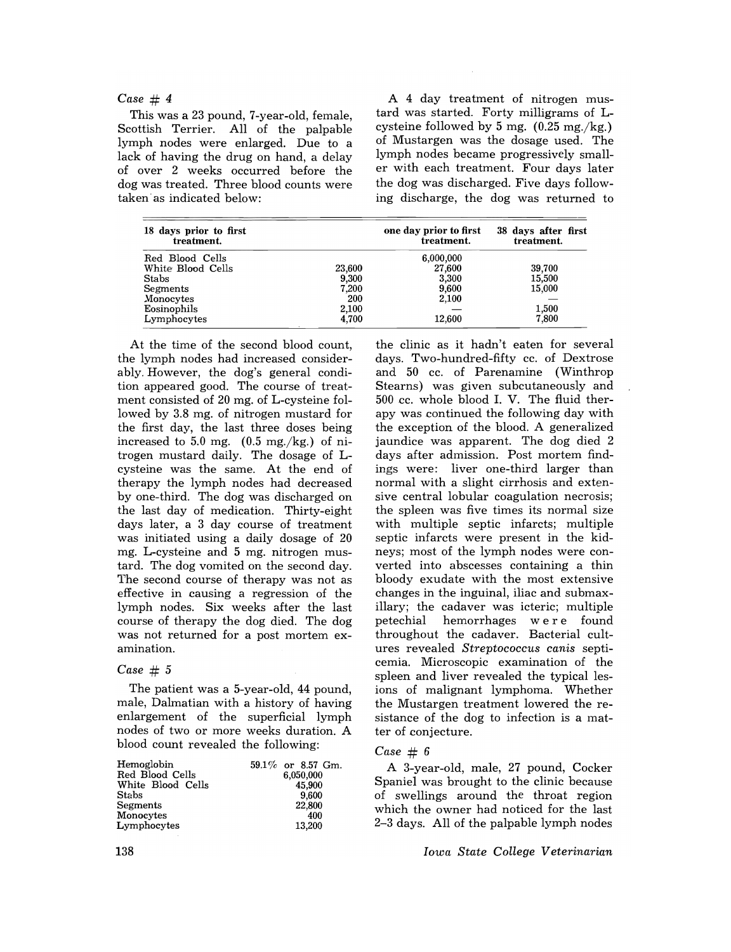## *Case* # 4

This was a 23 pound, 7-year-old, female, Scottish Terrier. All of the palpable lymph nodes were enlarged. Due to a lack of having the drug on hand, a delay of over 2 weeks occurred before the dog was treated. Three blood counts were taken as indicated below:

A 4 day treatment of nitrogen mustard was started. Forty milligrams of Lcysteine followed by 5 mg.  $(0.25 \text{ mg./kg.})$ of Mustargen was the dosage used. The lymph nodes became progressively smaller with each treatment. Four days later the dog was discharged. Five days following discharge, the dog was returned to

| 18 days prior to first<br>treatment. |        | one day prior to first<br>treatment. | 38 days after first<br>treatment. |
|--------------------------------------|--------|--------------------------------------|-----------------------------------|
| Red Blood Cells                      |        | 6,000,000                            |                                   |
| White Blood Cells                    | 23,600 | 27,600                               | 39.700                            |
| <b>Stabs</b>                         | 9,300  | 3,300                                | 15,500                            |
| Segments                             | 7,200  | 9,600                                | 15,000                            |
| Monocytes                            | 200    | 2,100                                |                                   |
| Eosinophils                          | 2,100  |                                      | 1,500                             |
| Lymphocytes                          | 4.700  | 12,600                               | 7,800                             |

At the time of the second blood count, the lymph nodes had increased considerably. However, the dog's general condition appeared good. The course of treatment consisted of 20 mg. of L-cysteine followed by 3.8 mg. of nitrogen mustard for the first day, the last three doses being increased to  $5.0$  mg.  $(0.5 \text{ mg./kg.})$  of nitrogen mustard daily. The dosage of Lcysteine was the same. At the end of therapy the lymph nodes had decreased by one-third. The dog was discharged on the last day of medication. Thirty-eight days later, a 3 day course of treatment was initiated using a daily dosage of 20 mg. L-cysteine and 5 mg. nitrogen mustard. The dog vomited on the second day. The second course of therapy was not as effective in causing a regression of the lymph nodes. Six weeks after the last course of therapy the dog died. The dog was not returned for a post mortem examination.

## *Case* # 5

The patient was a 5-year-old, 44 pound, male, Dalmatian with a history of having enlargement of the superficial lymph nodes of two or more weeks duration. A blood count revealed the following:

| Hemoglobin        | $59.1\%$ or 8.57 Gm. |
|-------------------|----------------------|
| Red Blood Cells   | 6.050,000            |
| White Blood Cells | 45,900               |
| Stabs             | 9,600                |
| Segments          | 22,800               |
| Monocytes         | 400                  |
| Lymphocytes       | 13,200               |

the clinic as it hadn't eaten for several days. Two-hundred-fifty cc. of Dextrose and 50 cc. of Parenamine (Winthrop Stearns) was given subcutaneously and 500 cc. whole blood 1. V. The fluid therapy was continued the following day with the exception of the blood. A generalized jaundice was apparent. The dog died 2 days after admission. Post mortem findings were: liver one-third larger than normal with a slight cirrhosis and extensive central lobular coagulation necrosis; the spleen was five times its normal size with multiple septic infarcts; multiple septic infarcts were present in the kidneys; most of the lymph nodes were converted into abscesses containing a thin bloody exudate with the most extensive changes in the inguinal, iliac and submaxillary; the cadaver was icteric; multiple petechial hemorrhages w ere found throughout the cadaver. Bacterial cultures revealed *Streptococcus canis* septicemia. Microscopic examination of the spleen and liver revealed the typical lesions of malignant lymphoma. Whether the Mustargen treatment lowered the resistance of the dog to infection is a matter of conjecture.

### *Case* # 6

A 3-year-old, male, 27 pound, Cocker Spaniel was brought to the clinic because of swellings around the throat region which the owner had noticed for the last 2-3 days. All of the palpable lymph nodes

*Iowa State College Veterinarian*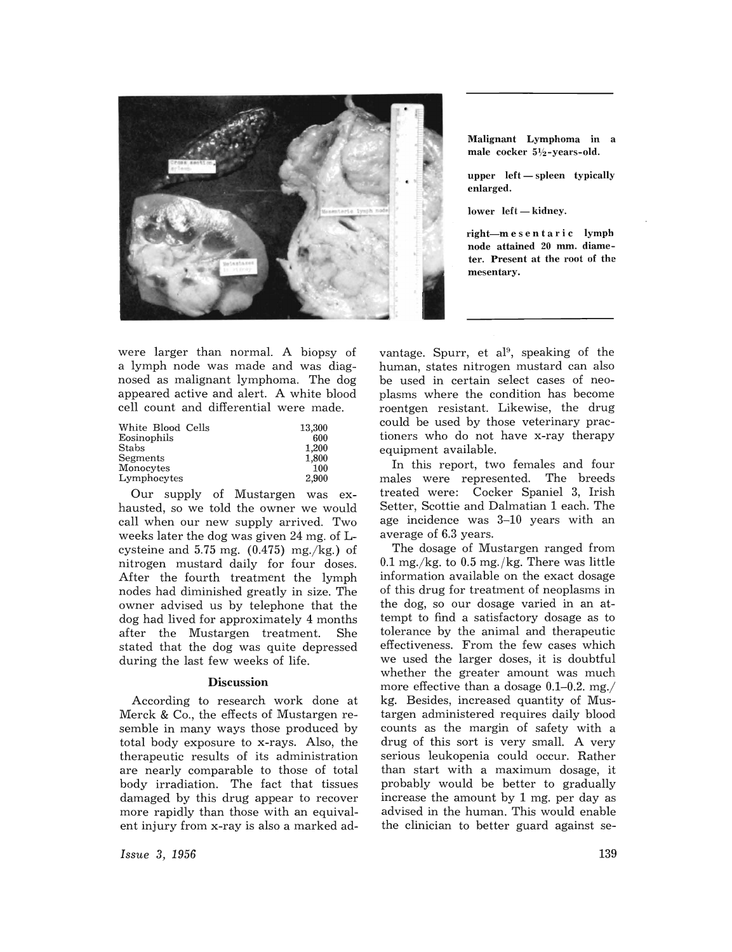

Malignant Lymphoma in a male cocker 51/2-years-old.

 $upper$  left  $-$  spleen typically enlarged.

lower left-kidney.

right-mesentaric lymph node attained 20 mm. diameter. Present at the root of the mesentary.

were larger than normal. A biopsy of a lymph node was made and was diagnosed as malignant lymphoma. The dog appeared active and alert. A white blood cell count and differential were made.

| White Blood Cells | 13.300 |
|-------------------|--------|
| Eosinophils       | 600    |
| <b>Stabs</b>      | 1,200  |
| Segments          | 1,800  |
| Monocytes         | 100    |
| Lymphocytes       | 2.900  |

Our supply of Mustargen was exhausted, so we told the owner we would call when our new supply arrived. Two weeks later the dog was given 24 mg. of Lcysteine and  $5.75$  mg.  $(0.475)$  mg./kg.) of nitrogen mustard daily for four doses. After the fourth treatment the lymph nodes had diminished greatly in size. The owner advised us by telephone that the dog had lived for approximately 4 months after the Mustargen treatment. She stated that the dog was quite depressed during the last few weeks of life.

### Discussion

According to research work done at Merck & Co., the effects of Mustargen resemble in many ways those produced by total body exposure to x-rays. Also, the therapeutic results of its administration are nearly comparable to those of total body irradiation. The fact that tissues damaged by this drug appear to recover more rapidly than those with an equivalent injury from x-ray is also a marked ad-

*Issue* 3, 1956

vantage. Spurr, et al<sup>9</sup>, speaking of the human, states nitrogen mustard can also be used in certain select cases of neoplasms where the condition has become roentgen resistant. Likewise, the drug could be used by those veterinary practioners who do not have x-ray therapy equipment available.

In this report, two females and four males were represented. The breeds treated were: Cocker Spaniel 3, Irish Setter, Scottie and Dalmatian 1 each. The age incidence was 3-10 years with an average of 6.3 years.

The dosage of Mustargen ranged from  $0.1$  mg./ $\text{kg}$ , to  $0.5$  mg./ $\text{kg}$ . There was little information available on the exact dosage of this drug for treatment of neoplasms in the dog, so our dosage varied in an attempt to find a satisfactory dosage as to tolerance by the animal and therapeutic effectiveness. From the few cases which we used the larger doses, it is doubtful whether the greater amount was much more effective than a dosage  $0.1-0.2$ . mg./ kg. Besides, increased quantity of Mustargen administered requires daily blood counts as the margin of safety with a drug of this sort is very small. A very serious leukopenia could occur. Rather than start with a maximum dosage, it probably would be better to gradually increase the amount by 1 mg. per day as advised in the human. This would enable the clinician to better guard against se